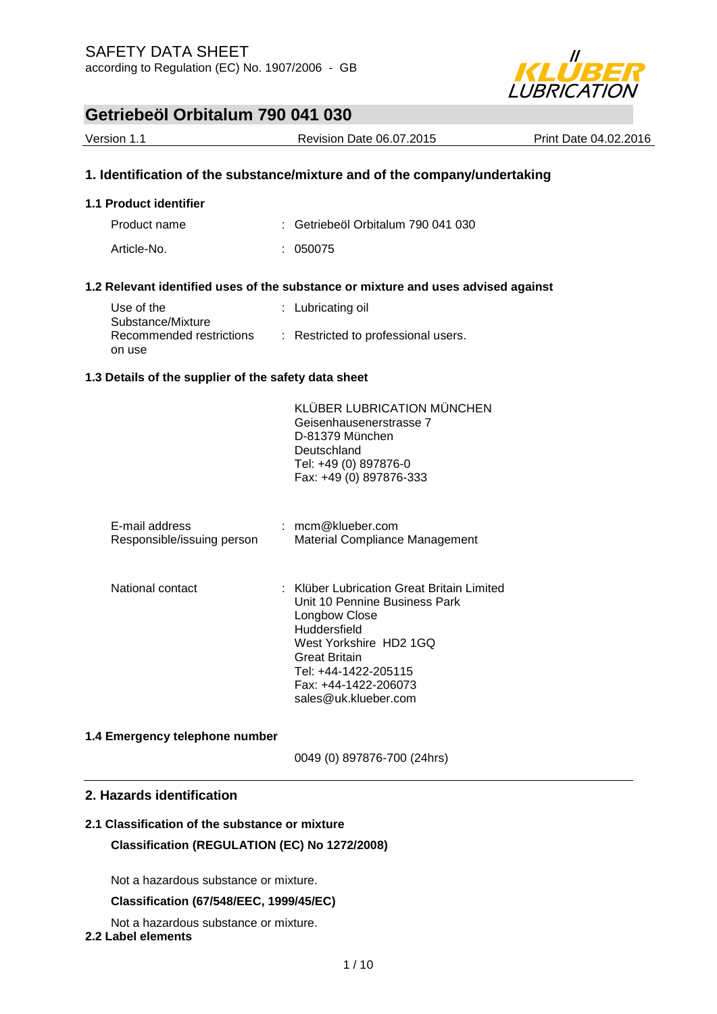

| Version 1.1                                          | <b>Revision Date 06.07.2015</b>                                                   | Print Date 04.02.2016 |
|------------------------------------------------------|-----------------------------------------------------------------------------------|-----------------------|
|                                                      | 1. Identification of the substance/mixture and of the company/undertaking         |                       |
| 1.1 Product identifier                               |                                                                                   |                       |
| Product name                                         | $\therefore$ Getriebeöl Orbitalum 790 041 030                                     |                       |
| Article-No.                                          | : 050075                                                                          |                       |
|                                                      | 1.2 Relevant identified uses of the substance or mixture and uses advised against |                       |
| Use of the<br>Substance/Mixture                      | : Lubricating oil                                                                 |                       |
| Recommended restrictions<br>on use                   | : Restricted to professional users.                                               |                       |
| 1.3 Details of the supplier of the safety data sheet |                                                                                   |                       |
|                                                      | <b>KLÜBER LUBRICATION MÜNCHEN</b><br>Geisenhausenerstrasse 7<br>D-81379 München   |                       |

| E-mail address<br>Responsible/issuing person | $:$ mcm@klueber.com<br>Material Compliance Management                                                                                                                                                                                    |
|----------------------------------------------|------------------------------------------------------------------------------------------------------------------------------------------------------------------------------------------------------------------------------------------|
| National contact                             | ∶   Klüber Lubrication Great Britain Limited<br>Unit 10 Pennine Business Park<br>Longbow Close<br>Huddersfield<br>West Yorkshire HD2 1GQ<br><b>Great Britain</b><br>Tel: +44-1422-205115<br>Fax: +44-1422-206073<br>sales@uk.klueber.com |

Deutschland

Tel: +49 (0) 897876-0 Fax: +49 (0) 897876-333

#### **1.4 Emergency telephone number**

0049 (0) 897876-700 (24hrs)

### **2. Hazards identification**

### **2.1 Classification of the substance or mixture Classification (REGULATION (EC) No 1272/2008)**

Not a hazardous substance or mixture.

### **Classification (67/548/EEC, 1999/45/EC)**

Not a hazardous substance or mixture.

### **2.2 Label elements**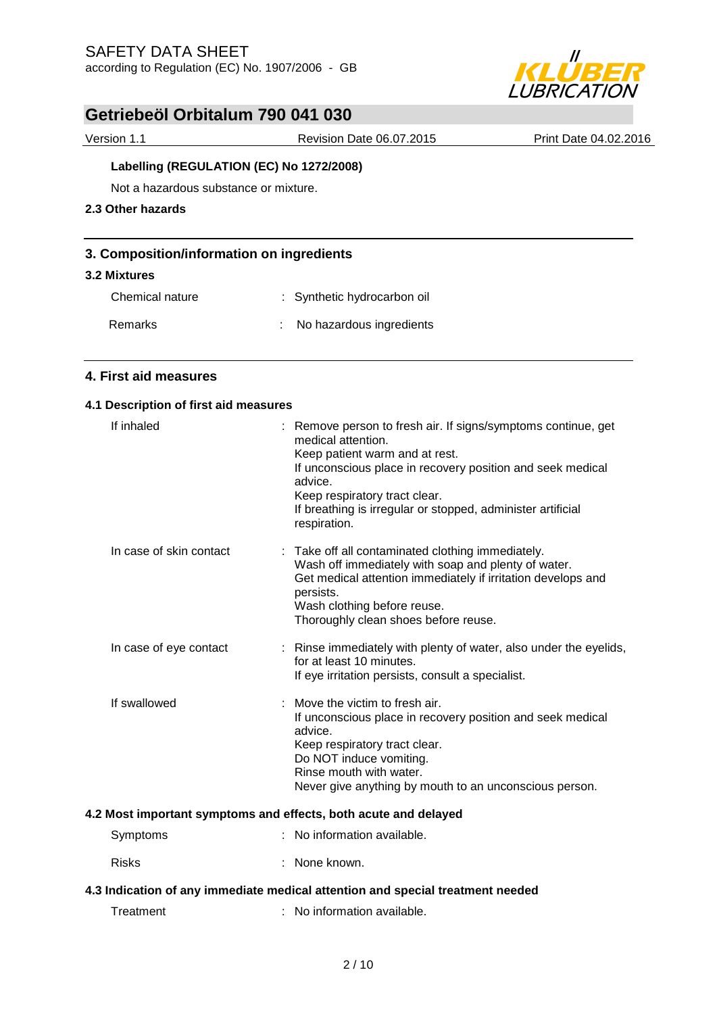

Version 1.1 Revision Date 06.07.2015 Print Date 04.02.2016

### **Labelling (REGULATION (EC) No 1272/2008)**

Not a hazardous substance or mixture.

### **2.3 Other hazards**

### **3. Composition/information on ingredients**

#### **3.2 Mixtures**

Chemical nature : Synthetic hydrocarbon oil

| Remarks | No hazardous ingredients |
|---------|--------------------------|
|         |                          |

### **4. First aid measures**

### **4.1 Description of first aid measures**

| If inhaled              | : Remove person to fresh air. If signs/symptoms continue, get<br>medical attention.<br>Keep patient warm and at rest.<br>If unconscious place in recovery position and seek medical<br>advice.<br>Keep respiratory tract clear.<br>If breathing is irregular or stopped, administer artificial<br>respiration. |
|-------------------------|----------------------------------------------------------------------------------------------------------------------------------------------------------------------------------------------------------------------------------------------------------------------------------------------------------------|
| In case of skin contact | : Take off all contaminated clothing immediately.<br>Wash off immediately with soap and plenty of water.<br>Get medical attention immediately if irritation develops and<br>persists.<br>Wash clothing before reuse.<br>Thoroughly clean shoes before reuse.                                                   |
| In case of eye contact  | : Rinse immediately with plenty of water, also under the eyelids,<br>for at least 10 minutes.<br>If eye irritation persists, consult a specialist.                                                                                                                                                             |
| If swallowed            | $\therefore$ Move the victim to fresh air.<br>If unconscious place in recovery position and seek medical<br>advice.<br>Keep respiratory tract clear.<br>Do NOT induce vomiting.<br>Rinse mouth with water.<br>Never give anything by mouth to an unconscious person.                                           |
|                         | Most important symptoms and effects, both acute and delayed                                                                                                                                                                                                                                                    |

#### **4.2 Most important symptoms and effects, both acute and delayed**

- Symptoms : No information available.
- Risks : None known.

### **4.3 Indication of any immediate medical attention and special treatment needed**

Treatment : No information available.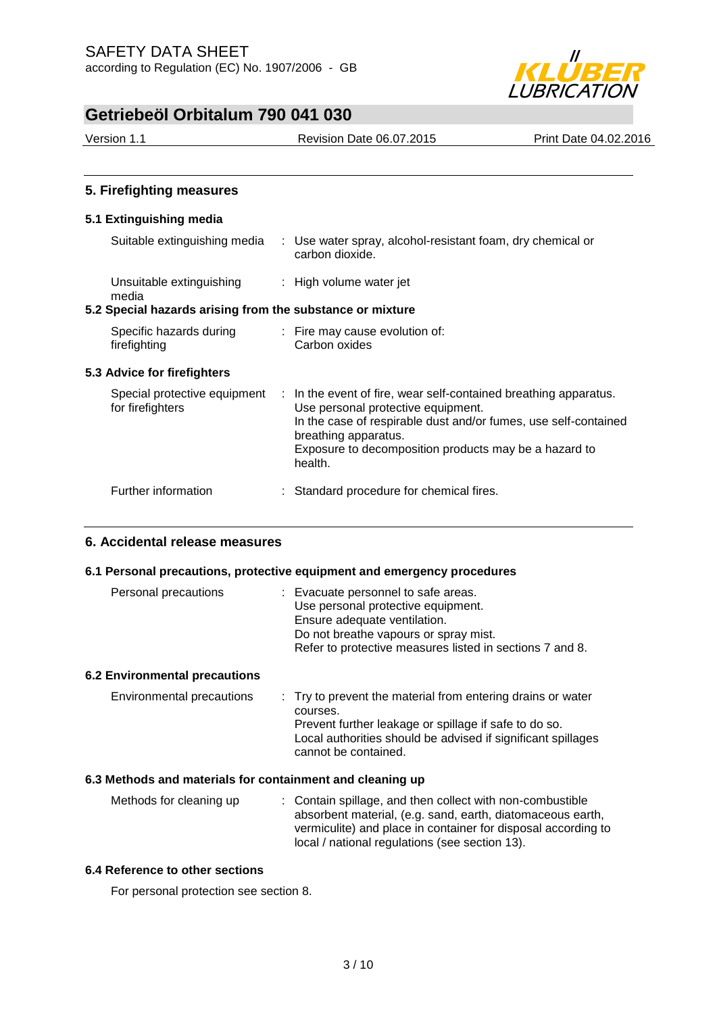

| Version 1.1                                               | <b>Revision Date 06.07.2015</b>                                                                                                                                                                                                                                       | Print Date 04.02.2016 |
|-----------------------------------------------------------|-----------------------------------------------------------------------------------------------------------------------------------------------------------------------------------------------------------------------------------------------------------------------|-----------------------|
|                                                           |                                                                                                                                                                                                                                                                       |                       |
| 5. Firefighting measures                                  |                                                                                                                                                                                                                                                                       |                       |
| 5.1 Extinguishing media                                   |                                                                                                                                                                                                                                                                       |                       |
| Suitable extinguishing media                              | : Use water spray, alcohol-resistant foam, dry chemical or<br>carbon dioxide.                                                                                                                                                                                         |                       |
| Unsuitable extinguishing<br>media                         | : High volume water jet                                                                                                                                                                                                                                               |                       |
| 5.2 Special hazards arising from the substance or mixture |                                                                                                                                                                                                                                                                       |                       |
| Specific hazards during<br>firefighting                   | : Fire may cause evolution of:<br>Carbon oxides                                                                                                                                                                                                                       |                       |
| 5.3 Advice for firefighters                               |                                                                                                                                                                                                                                                                       |                       |
| Special protective equipment<br>for firefighters          | : In the event of fire, wear self-contained breathing apparatus.<br>Use personal protective equipment.<br>In the case of respirable dust and/or fumes, use self-contained<br>breathing apparatus.<br>Exposure to decomposition products may be a hazard to<br>health. |                       |

### **6. Accidental release measures**

#### **6.1 Personal precautions, protective equipment and emergency procedures**

Further information : Standard procedure for chemical fires.

| Personal precautions        | : Evacuate personnel to safe areas.<br>Use personal protective equipment.<br>Ensure adequate ventilation.<br>Do not breathe vapours or spray mist.<br>Refer to protective measures listed in sections 7 and 8. |
|-----------------------------|----------------------------------------------------------------------------------------------------------------------------------------------------------------------------------------------------------------|
| 2 Environmental precautions |                                                                                                                                                                                                                |

### **6.2 Environmental precautions**

| Environmental precautions | : Try to prevent the material from entering drains or water  |
|---------------------------|--------------------------------------------------------------|
|                           | courses.                                                     |
|                           | Prevent further leakage or spillage if safe to do so.        |
|                           | Local authorities should be advised if significant spillages |
|                           | cannot be contained.                                         |

### **6.3 Methods and materials for containment and cleaning up**

| Methods for cleaning up | : Contain spillage, and then collect with non-combustible     |
|-------------------------|---------------------------------------------------------------|
|                         | absorbent material, (e.g. sand, earth, diatomaceous earth,    |
|                         | vermiculite) and place in container for disposal according to |
|                         | local / national regulations (see section 13).                |

### **6.4 Reference to other sections**

For personal protection see section 8.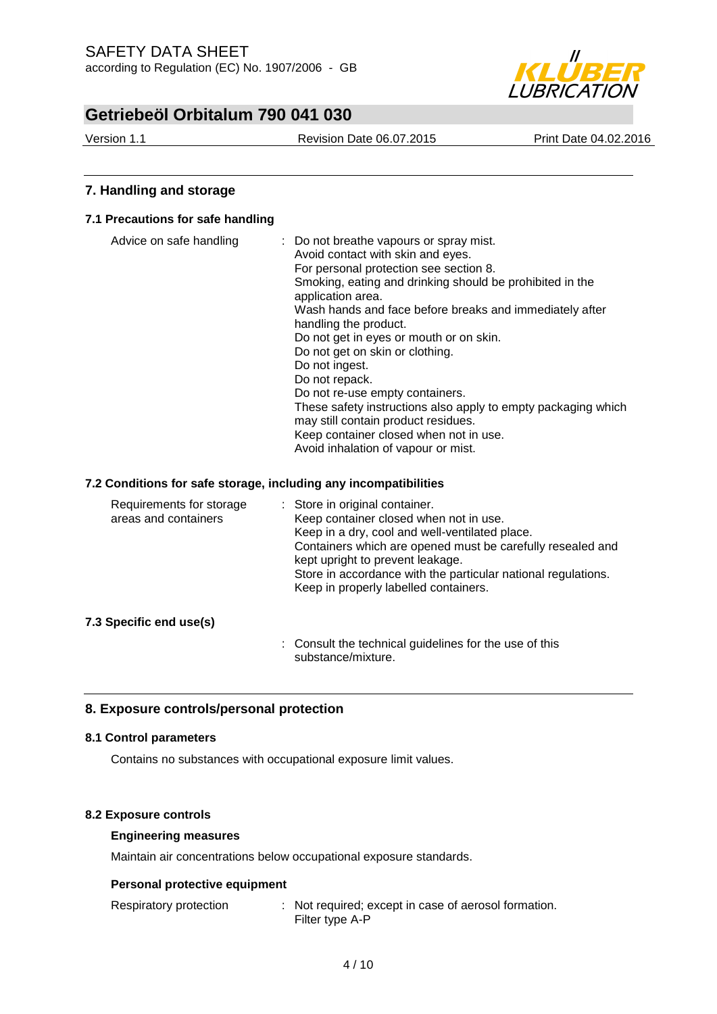

Version 1.1 Revision Date 06.07.2015 Print Date 04.02.2016

### **7. Handling and storage**

### **7.1 Precautions for safe handling**

| Advice on safe handling | : Do not breathe vapours or spray mist.<br>Avoid contact with skin and eyes.  |
|-------------------------|-------------------------------------------------------------------------------|
|                         | For personal protection see section 8.                                        |
|                         | Smoking, eating and drinking should be prohibited in the<br>application area. |
|                         | Wash hands and face before breaks and immediately after                       |
|                         | handling the product.                                                         |
|                         | Do not get in eyes or mouth or on skin.                                       |
|                         | Do not get on skin or clothing.                                               |
|                         | Do not ingest.                                                                |
|                         | Do not repack.                                                                |
|                         | Do not re-use empty containers.                                               |
|                         | These safety instructions also apply to empty packaging which                 |
|                         | may still contain product residues.                                           |
|                         | Keep container closed when not in use.                                        |
|                         | Avoid inhalation of vapour or mist.                                           |

### **7.2 Conditions for safe storage, including any incompatibilities**

| Requirements for storage<br>areas and containers | : Store in original container.<br>Keep container closed when not in use.<br>Keep in a dry, cool and well-ventilated place.<br>Containers which are opened must be carefully resealed and<br>kept upright to prevent leakage.<br>Store in accordance with the particular national regulations.<br>Keep in properly labelled containers. |
|--------------------------------------------------|----------------------------------------------------------------------------------------------------------------------------------------------------------------------------------------------------------------------------------------------------------------------------------------------------------------------------------------|
|                                                  |                                                                                                                                                                                                                                                                                                                                        |

### **7.3 Specific end use(s)**

: Consult the technical guidelines for the use of this substance/mixture.

### **8. Exposure controls/personal protection**

### **8.1 Control parameters**

Contains no substances with occupational exposure limit values.

### **8.2 Exposure controls**

### **Engineering measures**

Maintain air concentrations below occupational exposure standards.

### **Personal protective equipment**

| Respiratory protection | : Not required; except in case of aerosol formation. |  |
|------------------------|------------------------------------------------------|--|
|                        | Filter type A-P                                      |  |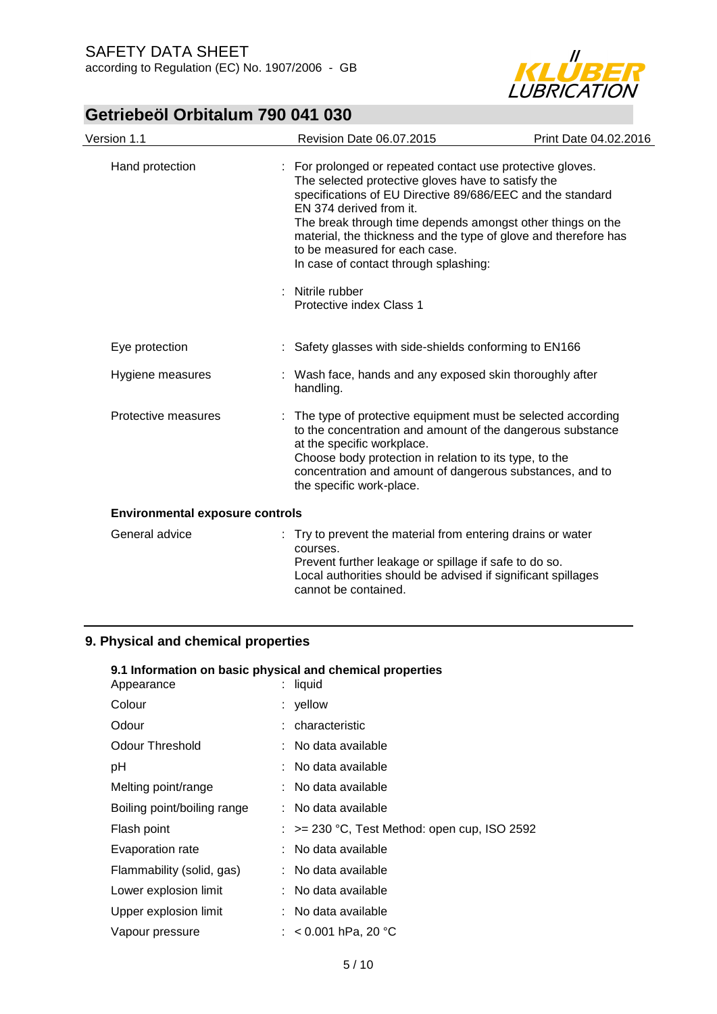

| Version 1.1                            | Revision Date 06.07.2015                                                                                                                                                                                                                                                                                                                                                                                                                                             | Print Date 04.02.2016 |
|----------------------------------------|----------------------------------------------------------------------------------------------------------------------------------------------------------------------------------------------------------------------------------------------------------------------------------------------------------------------------------------------------------------------------------------------------------------------------------------------------------------------|-----------------------|
| Hand protection                        | : For prolonged or repeated contact use protective gloves.<br>The selected protective gloves have to satisfy the<br>specifications of EU Directive 89/686/EEC and the standard<br>EN 374 derived from it.<br>The break through time depends amongst other things on the<br>material, the thickness and the type of glove and therefore has<br>to be measured for each case.<br>In case of contact through splashing:<br>: Nitrile rubber<br>Protective index Class 1 |                       |
| Eye protection                         | : Safety glasses with side-shields conforming to EN166                                                                                                                                                                                                                                                                                                                                                                                                               |                       |
| Hygiene measures                       | Wash face, hands and any exposed skin thoroughly after<br>handling.                                                                                                                                                                                                                                                                                                                                                                                                  |                       |
| Protective measures                    | The type of protective equipment must be selected according<br>to the concentration and amount of the dangerous substance<br>at the specific workplace.<br>Choose body protection in relation to its type, to the<br>concentration and amount of dangerous substances, and to<br>the specific work-place.                                                                                                                                                            |                       |
| <b>Environmental exposure controls</b> |                                                                                                                                                                                                                                                                                                                                                                                                                                                                      |                       |
| General advice                         | : Try to prevent the material from entering drains or water<br>courses.<br>Prevent further leakage or spillage if safe to do so.<br>Local authorities should be advised if significant spillages<br>cannot be contained.                                                                                                                                                                                                                                             |                       |

### **9. Physical and chemical properties**

| 9.1 Information on basic physical and chemical properties |  |                                                         |  |  |  |
|-----------------------------------------------------------|--|---------------------------------------------------------|--|--|--|
| Appearance                                                |  | : liquid                                                |  |  |  |
| Colour                                                    |  | : yellow                                                |  |  |  |
| Odour                                                     |  | : characteristic                                        |  |  |  |
| <b>Odour Threshold</b>                                    |  | : No data available                                     |  |  |  |
| рH                                                        |  | : No data available                                     |  |  |  |
| Melting point/range                                       |  | : No data available                                     |  |  |  |
| Boiling point/boiling range                               |  | : No data available                                     |  |  |  |
| Flash point                                               |  | $\therefore$ >= 230 °C, Test Method: open cup, ISO 2592 |  |  |  |
| Evaporation rate                                          |  | : No data available                                     |  |  |  |
| Flammability (solid, gas)                                 |  | : No data available                                     |  |  |  |
| Lower explosion limit                                     |  | : No data available                                     |  |  |  |
| Upper explosion limit                                     |  | : No data available                                     |  |  |  |
| Vapour pressure                                           |  | : $< 0.001$ hPa, 20 °C                                  |  |  |  |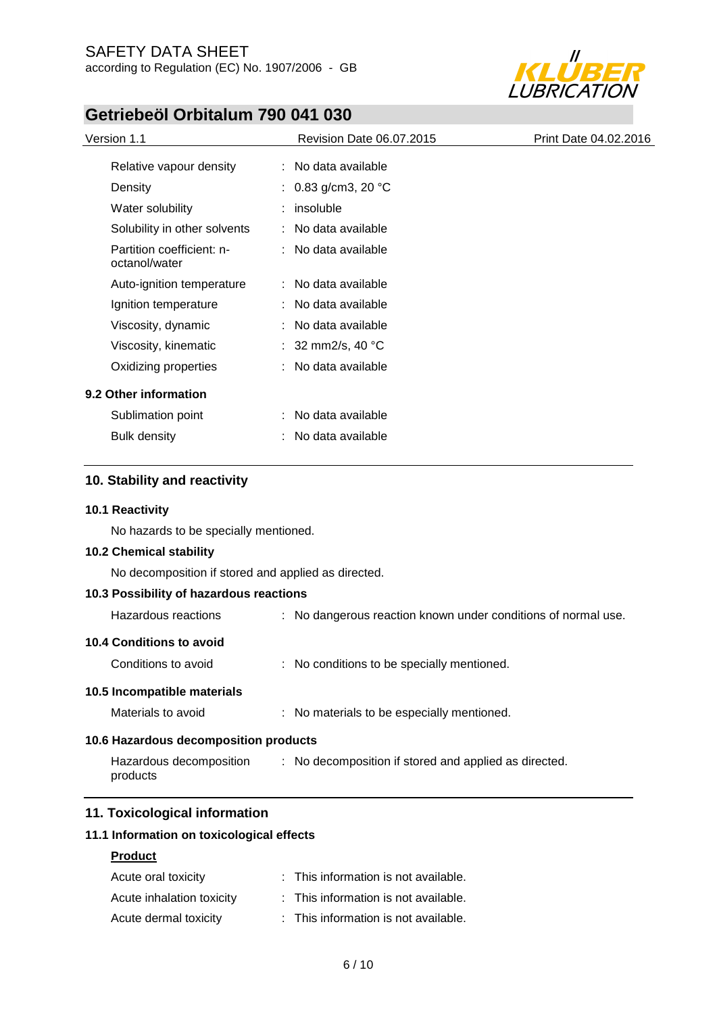

| Version 1.1                                | <b>Revision Date 06.07.2015</b> | Print Date 04.02.2016 |
|--------------------------------------------|---------------------------------|-----------------------|
| Relative vapour density                    | : No data available             |                       |
| Density                                    | : 0.83 g/cm3, 20 °C             |                       |
| Water solubility                           | insoluble                       |                       |
| Solubility in other solvents               | : No data available             |                       |
| Partition coefficient: n-<br>octanol/water | : No data available             |                       |
| Auto-ignition temperature                  | : No data available             |                       |
| Ignition temperature                       | : No data available             |                       |
| Viscosity, dynamic                         | : No data available             |                       |
| Viscosity, kinematic                       | : 32 mm2/s, 40 $^{\circ}$ C     |                       |
| Oxidizing properties                       | : No data available             |                       |
| 9.2 Other information                      |                                 |                       |
| Sublimation point                          | : No data available             |                       |
| <b>Bulk density</b>                        | No data available               |                       |

### **10. Stability and reactivity**

### **10.1 Reactivity**

No hazards to be specially mentioned.

### **10.2 Chemical stability**

No decomposition if stored and applied as directed.

|                                       | 10.3 Possibility of hazardous reactions |  |                                                               |
|---------------------------------------|-----------------------------------------|--|---------------------------------------------------------------|
|                                       | Hazardous reactions                     |  | : No dangerous reaction known under conditions of normal use. |
|                                       | 10.4 Conditions to avoid                |  |                                                               |
|                                       | Conditions to avoid                     |  | : No conditions to be specially mentioned.                    |
|                                       | 10.5 Incompatible materials             |  |                                                               |
|                                       | Materials to avoid                      |  | : No materials to be especially mentioned.                    |
| 10.6 Hazardous decomposition products |                                         |  |                                                               |
|                                       | Hazardous decomposition<br>products     |  | : No decomposition if stored and applied as directed.         |

### **11. Toxicological information**

### **11.1 Information on toxicological effects**

### **Product**

| Acute oral toxicity       | : This information is not available. |
|---------------------------|--------------------------------------|
| Acute inhalation toxicity | : This information is not available. |
| Acute dermal toxicity     | : This information is not available. |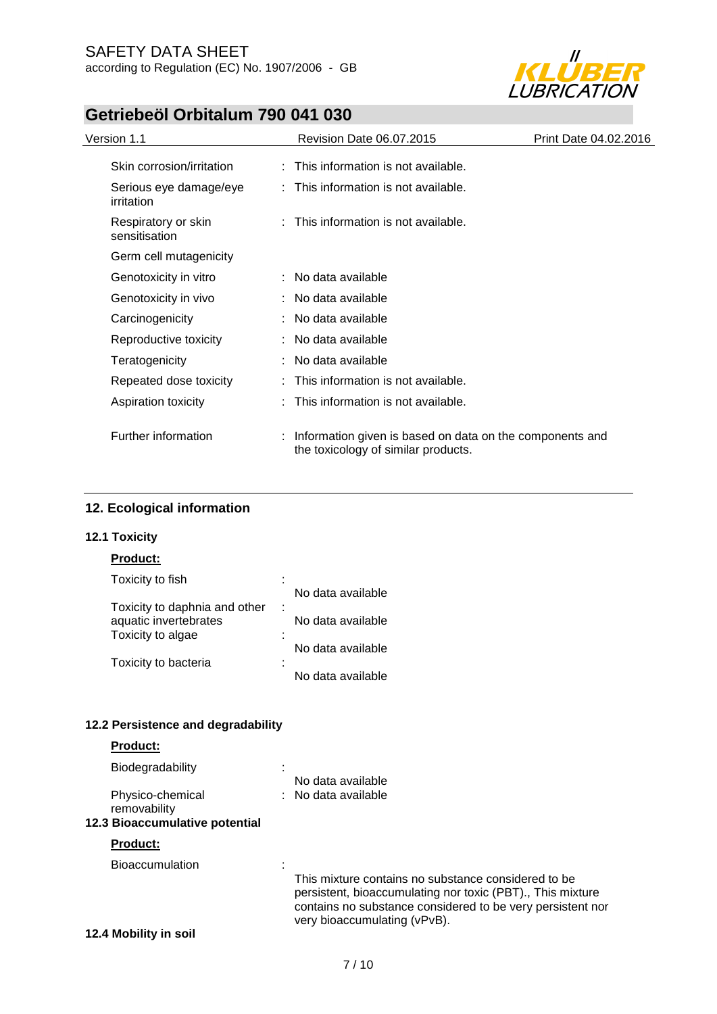

| Version 1.1                          | Revision Date 06.07.2015<br>Print Date 04.02.2016                                               |  |
|--------------------------------------|-------------------------------------------------------------------------------------------------|--|
| Skin corrosion/irritation            | : This information is not available.                                                            |  |
| Serious eye damage/eye<br>irritation | : This information is not available.                                                            |  |
| Respiratory or skin<br>sensitisation | : This information is not available.                                                            |  |
| Germ cell mutagenicity               |                                                                                                 |  |
| Genotoxicity in vitro                | : No data available                                                                             |  |
| Genotoxicity in vivo                 | : No data available                                                                             |  |
| Carcinogenicity                      | : No data available                                                                             |  |
| Reproductive toxicity                | : No data available                                                                             |  |
| Teratogenicity                       | : No data available                                                                             |  |
| Repeated dose toxicity               | This information is not available.                                                              |  |
| Aspiration toxicity                  | This information is not available.                                                              |  |
| Further information                  | Information given is based on data on the components and<br>the toxicology of similar products. |  |

### **12. Ecological information**

### **12.1 Toxicity**

### **Product:**

| Toxicity to fish              | ٠ |                   |
|-------------------------------|---|-------------------|
|                               |   | No data available |
| Toxicity to daphnia and other |   |                   |
| aquatic invertebrates         |   | No data available |
| Toxicity to algae             |   | No data available |
| Toxicity to bacteria          |   |                   |
|                               |   | No data available |

### **12.2 Persistence and degradability**

### **Product:**

| Biodegradability                 |                                                                                                                                                                                                                 |
|----------------------------------|-----------------------------------------------------------------------------------------------------------------------------------------------------------------------------------------------------------------|
|                                  | No data available                                                                                                                                                                                               |
| Physico-chemical<br>removability | : No data available                                                                                                                                                                                             |
| 12.3 Bioaccumulative potential   |                                                                                                                                                                                                                 |
| <b>Product:</b>                  |                                                                                                                                                                                                                 |
| <b>Bioaccumulation</b>           |                                                                                                                                                                                                                 |
|                                  | This mixture contains no substance considered to be<br>persistent, bioaccumulating nor toxic (PBT)., This mixture<br>contains no substance considered to be very persistent nor<br>very bioaccumulating (vPvB). |
| 12.4 Mobility in soil            |                                                                                                                                                                                                                 |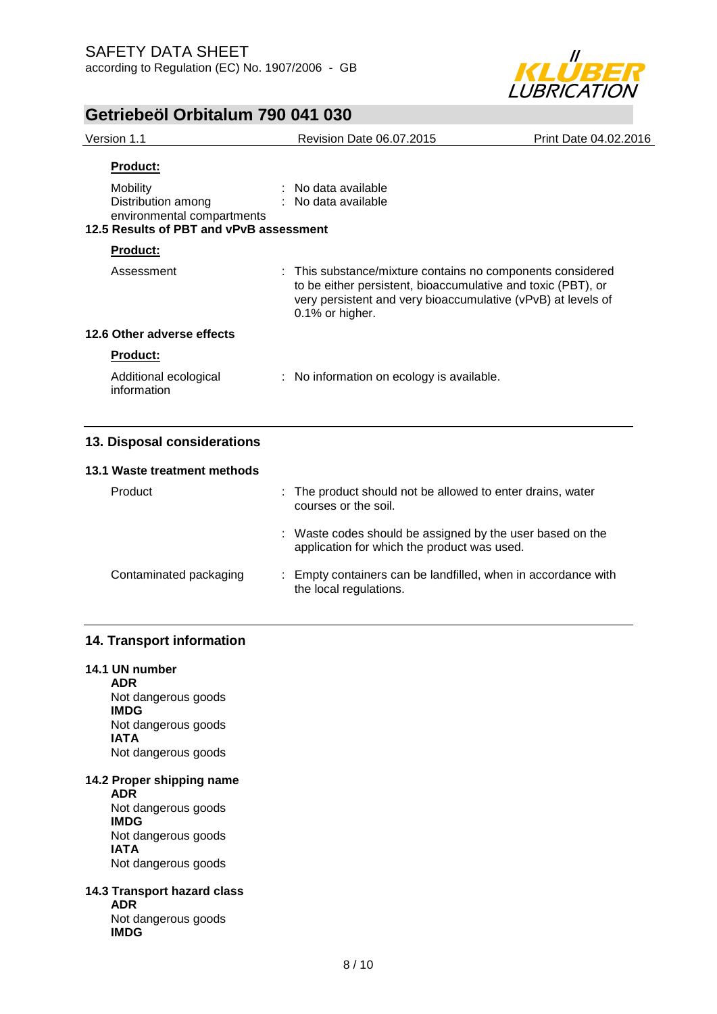

| Version 1.1                                                                                             |                                                                                    | Revision Date 06.07.2015                                                                                                                                                                                      | Print Date 04.02.2016 |
|---------------------------------------------------------------------------------------------------------|------------------------------------------------------------------------------------|---------------------------------------------------------------------------------------------------------------------------------------------------------------------------------------------------------------|-----------------------|
| <b>Product:</b>                                                                                         |                                                                                    |                                                                                                                                                                                                               |                       |
| Mobility<br>Distribution among<br>environmental compartments<br>12.5 Results of PBT and vPvB assessment |                                                                                    | No data available<br>: No data available                                                                                                                                                                      |                       |
| <b>Product:</b>                                                                                         |                                                                                    |                                                                                                                                                                                                               |                       |
| Assessment                                                                                              |                                                                                    | : This substance/mixture contains no components considered<br>to be either persistent, bioaccumulative and toxic (PBT), or<br>very persistent and very bioaccumulative (vPvB) at levels of<br>0.1% or higher. |                       |
| 12.6 Other adverse effects                                                                              |                                                                                    |                                                                                                                                                                                                               |                       |
| <b>Product:</b>                                                                                         |                                                                                    |                                                                                                                                                                                                               |                       |
| Additional ecological<br>information                                                                    |                                                                                    | : No information on ecology is available.                                                                                                                                                                     |                       |
| 13. Disposal considerations                                                                             |                                                                                    |                                                                                                                                                                                                               |                       |
| 13.1 Waste treatment methods                                                                            |                                                                                    |                                                                                                                                                                                                               |                       |
| Product                                                                                                 | : The product should not be allowed to enter drains, water<br>courses or the soil. |                                                                                                                                                                                                               |                       |
|                                                                                                         |                                                                                    | : Waste codes should be assigned by the user based on the<br>application for which the product was used.                                                                                                      |                       |
| Contaminated packaging                                                                                  |                                                                                    | Empty containers can be landfilled, when in accordance with                                                                                                                                                   |                       |

the local regulations.

### **14. Transport information**

#### **14.1 UN number**

**ADR** Not dangerous goods **IMDG** Not dangerous goods **IATA** Not dangerous goods

#### **14.2 Proper shipping name**

**ADR** Not dangerous goods **IMDG** Not dangerous goods **IATA** Not dangerous goods

### **14.3 Transport hazard class**

**ADR** Not dangerous goods **IMDG**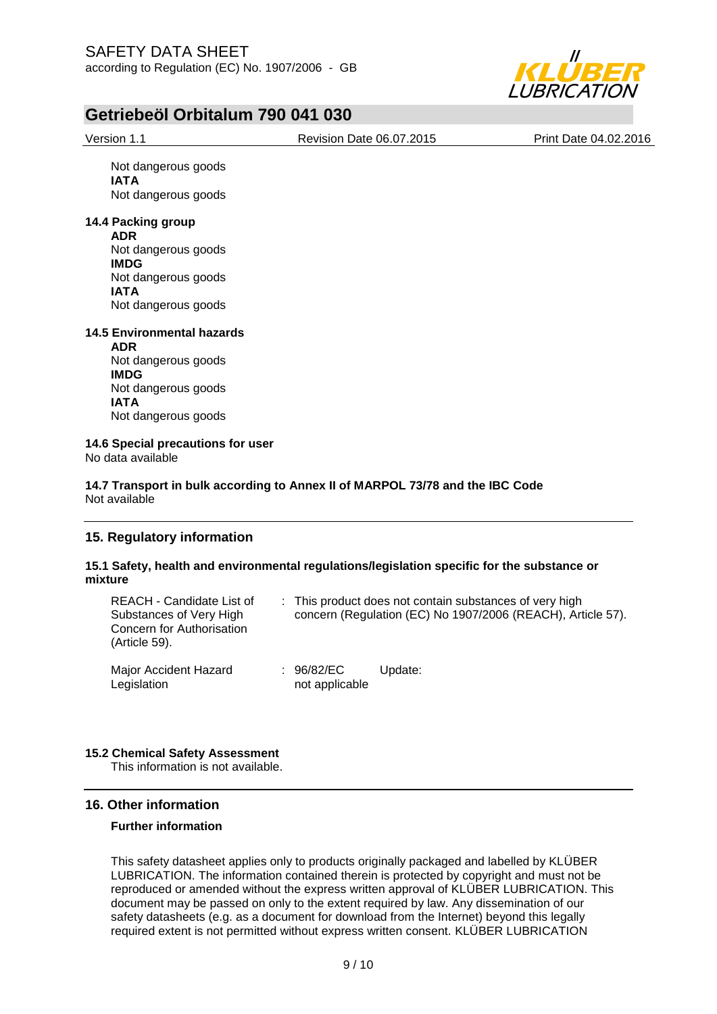

Version 1.1 Revision Date 06.07.2015 Print Date 04.02.2016

Not dangerous goods **IATA** Not dangerous goods

### **14.4 Packing group**

**ADR** Not dangerous goods **IMDG** Not dangerous goods **IATA** Not dangerous goods

#### **14.5 Environmental hazards**

**ADR** Not dangerous goods **IMDG** Not dangerous goods **IATA** Not dangerous goods

**14.6 Special precautions for user** No data available

#### **14.7 Transport in bulk according to Annex II of MARPOL 73/78 and the IBC Code** Not available

### **15. Regulatory information**

### **15.1 Safety, health and environmental regulations/legislation specific for the substance or mixture**

| REACH - Candidate List of<br>Substances of Very High<br>Concern for Authorisation<br>(Article 59). |                              | : This product does not contain substances of very high<br>concern (Regulation (EC) No 1907/2006 (REACH), Article 57). |
|----------------------------------------------------------------------------------------------------|------------------------------|------------------------------------------------------------------------------------------------------------------------|
| Major Accident Hazard<br>Legislation                                                               | : 96/82/EC<br>not applicable | Update:                                                                                                                |

### **15.2 Chemical Safety Assessment**

This information is not available.

### **16. Other information**

### **Further information**

This safety datasheet applies only to products originally packaged and labelled by KLÜBER LUBRICATION. The information contained therein is protected by copyright and must not be reproduced or amended without the express written approval of KLÜBER LUBRICATION. This document may be passed on only to the extent required by law. Any dissemination of our safety datasheets (e.g. as a document for download from the Internet) beyond this legally required extent is not permitted without express written consent. KLÜBER LUBRICATION